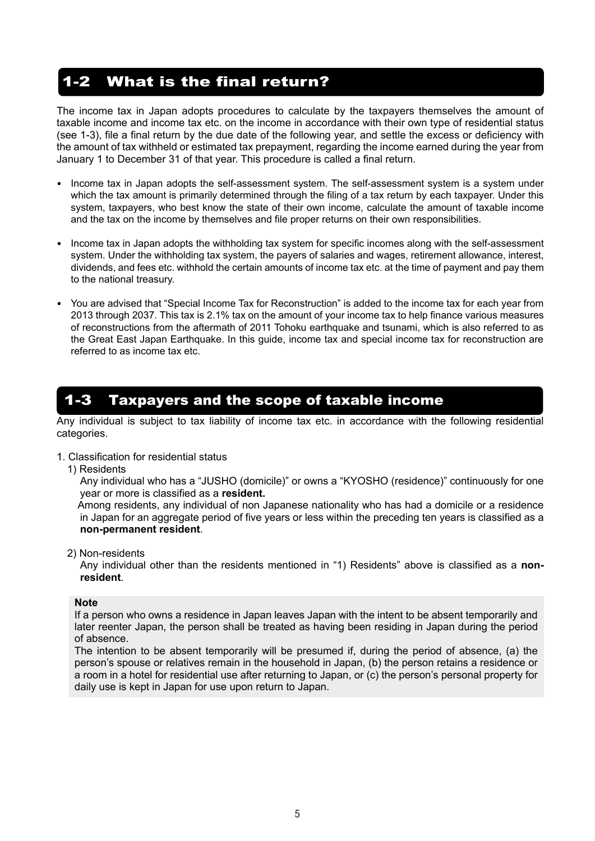# 1-2 What is the final return?

The income tax in Japan adopts procedures to calculate by the taxpayers themselves the amount of taxable income and income tax etc. on the income in accordance with their own type of residential status (see 1-3), file a final return by the due date of the following year, and settle the excess or deficiency with the amount of tax withheld or estimated tax prepayment, regarding the income earned during the year from January 1 to December 31 of that year. This procedure is called a final return.

- Income tax in Japan adopts the self-assessment system. The self-assessment system is a system under which the tax amount is primarily determined through the filing of a tax return by each taxpayer. Under this system, taxpayers, who best know the state of their own income, calculate the amount of taxable income and the tax on the income by themselves and file proper returns on their own responsibilities.
- Income tax in Japan adopts the withholding tax system for specific incomes along with the self-assessment system. Under the withholding tax system, the payers of salaries and wages, retirement allowance, interest, dividends, and fees etc. withhold the certain amounts of income tax etc. at the time of payment and pay them to the national treasury.
- You are advised that "Special Income Tax for Reconstruction" is added to the income tax for each year from 2013 through 2037. This tax is 2.1% tax on the amount of your income tax to help finance various measures of reconstructions from the aftermath of 2011 Tohoku earthquake and tsunami, which is also referred to as the Great East Japan Earthquake. In this guide, income tax and special income tax for reconstruction are referred to as income tax etc.

# 1-3 Taxpayers and the scope of taxable income

Any individual is subject to tax liability of income tax etc. in accordance with the following residential categories.

- 1. Classification for residential status
	- 1) Residents

Any individual who has a "JUSHO (domicile)" or owns a "KYOSHO (residence)" continuously for one year or more is classified as a **resident.**

Among residents, any individual of non Japanese nationality who has had a domicile or a residence in Japan for an aggregate period of five years or less within the preceding ten years is classified as a **non-permanent resident**.

2) Non-residents

Any individual other than the residents mentioned in "1) Residents" above is classified as a **nonresident**.

#### **Note**

If a person who owns a residence in Japan leaves Japan with the intent to be absent temporarily and later reenter Japan, the person shall be treated as having been residing in Japan during the period of absence.

The intention to be absent temporarily will be presumed if, during the period of absence, (a) the person's spouse or relatives remain in the household in Japan, (b) the person retains a residence or a room in a hotel for residential use after returning to Japan, or (c) the person's personal property for daily use is kept in Japan for use upon return to Japan.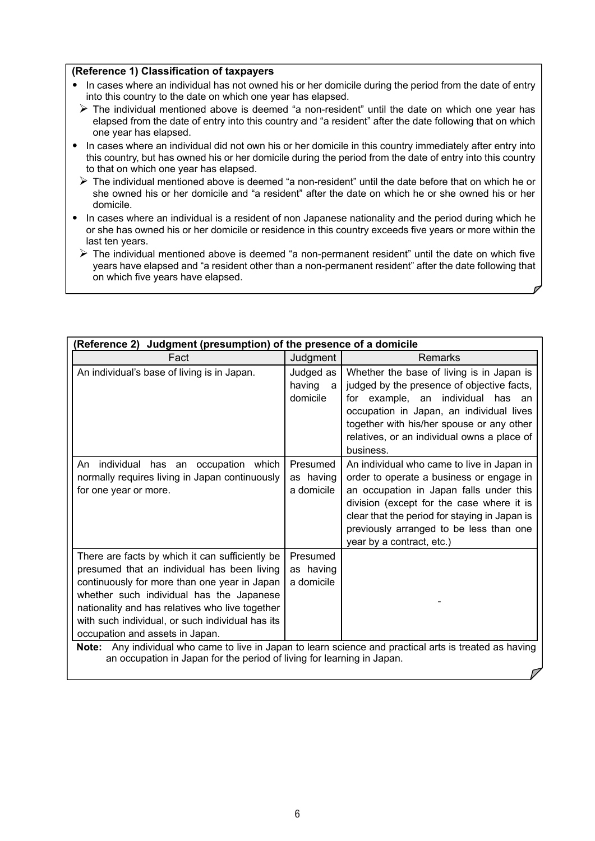#### **(Reference 1) Classification of taxpayers**

- In cases where an individual has not owned his or her domicile during the period from the date of entry into this country to the date on which one year has elapsed.
	- The individual mentioned above is deemed "a non-resident" until the date on which one year has elapsed from the date of entry into this country and "a resident" after the date following that on which one year has elapsed.
- In cases where an individual did not own his or her domicile in this country immediately after entry into this country, but has owned his or her domicile during the period from the date of entry into this country to that on which one year has elapsed.
- $\triangleright$  The individual mentioned above is deemed "a non-resident" until the date before that on which he or she owned his or her domicile and "a resident" after the date on which he or she owned his or her domicile.
- In cases where an individual is a resident of non Japanese nationality and the period during which he or she has owned his or her domicile or residence in this country exceeds five years or more within the last ten years.
	- $\triangleright$  The individual mentioned above is deemed "a non-permanent resident" until the date on which five years have elapsed and "a resident other than a non-permanent resident" after the date following that on which five years have elapsed.

| Judgment (presumption) of the presence of a domicile<br>(Reference 2)                                                                                                                                                                                                                                                                |                                      |                                                                                                                                                                                                                                                                                                         |  |  |
|--------------------------------------------------------------------------------------------------------------------------------------------------------------------------------------------------------------------------------------------------------------------------------------------------------------------------------------|--------------------------------------|---------------------------------------------------------------------------------------------------------------------------------------------------------------------------------------------------------------------------------------------------------------------------------------------------------|--|--|
| Fact                                                                                                                                                                                                                                                                                                                                 | Judgment                             | <b>Remarks</b>                                                                                                                                                                                                                                                                                          |  |  |
| An individual's base of living is in Japan.                                                                                                                                                                                                                                                                                          | Judged as<br>having<br>a<br>domicile | Whether the base of living is in Japan is<br>judged by the presence of objective facts,<br>for example, an individual has an<br>occupation in Japan, an individual lives<br>together with his/her spouse or any other<br>relatives, or an individual owns a place of<br>business.                       |  |  |
| individual has an occupation which<br>An<br>normally requires living in Japan continuously<br>for one year or more.                                                                                                                                                                                                                  | Presumed<br>as having<br>a domicile  | An individual who came to live in Japan in<br>order to operate a business or engage in<br>an occupation in Japan falls under this<br>division (except for the case where it is<br>clear that the period for staying in Japan is<br>previously arranged to be less than one<br>year by a contract, etc.) |  |  |
| There are facts by which it can sufficiently be<br>presumed that an individual has been living<br>continuously for more than one year in Japan<br>whether such individual has the Japanese<br>nationality and has relatives who live together<br>with such individual, or such individual has its<br>occupation and assets in Japan. | Presumed<br>as having<br>a domicile  |                                                                                                                                                                                                                                                                                                         |  |  |
| Note: Any individual who came to live in Japan to learn science and practical arts is treated as having<br>an occupation in Japan for the period of living for learning in Japan.                                                                                                                                                    |                                      |                                                                                                                                                                                                                                                                                                         |  |  |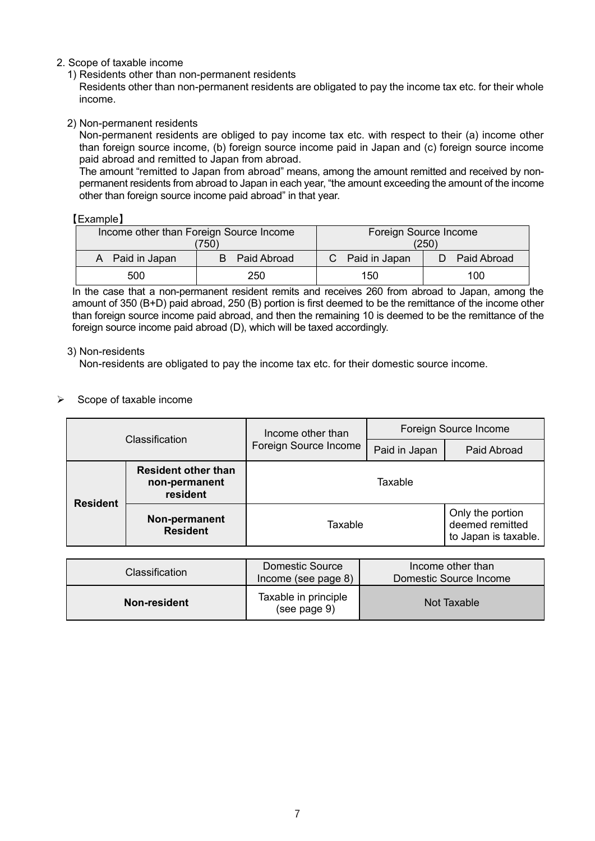#### 2. Scope of taxable income

1) Residents other than non-permanent residents

Residents other than non-permanent residents are obligated to pay the income tax etc. for their whole income.

2) Non-permanent residents

Non-permanent residents are obliged to pay income tax etc. with respect to their (a) income other than foreign source income, (b) foreign source income paid in Japan and (c) foreign source income paid abroad and remitted to Japan from abroad.

The amount "remitted to Japan from abroad" means, among the amount remitted and received by nonpermanent residents from abroad to Japan in each year, "the amount exceeding the amount of the income other than foreign source income paid abroad" in that year.

#### 【Example】

| Income other than Foreign Source Income<br>750) |                  | Foreign Source Income<br>(250) |                  |  |
|-------------------------------------------------|------------------|--------------------------------|------------------|--|
| A Paid in Japan                                 | Paid Abroad<br>B | C Paid in Japan                | Paid Abroad<br>D |  |
| 500                                             | 250              | 150                            | 100              |  |

In the case that a non-permanent resident remits and receives 260 from abroad to Japan, among the amount of 350 (B+D) paid abroad, 250 (B) portion is first deemed to be the remittance of the income other than foreign source income paid abroad, and then the remaining 10 is deemed to be the remittance of the foreign source income paid abroad (D), which will be taxed accordingly.

#### 3) Non-residents

Non-residents are obligated to pay the income tax etc. for their domestic source income.

#### $\triangleright$  Scope of taxable income

| Classification  |                                                         | Income other than     | Foreign Source Income |                                                             |  |
|-----------------|---------------------------------------------------------|-----------------------|-----------------------|-------------------------------------------------------------|--|
|                 |                                                         | Foreign Source Income | Paid in Japan         | Paid Abroad                                                 |  |
| <b>Resident</b> | <b>Resident other than</b><br>non-permanent<br>resident | Taxable               |                       |                                                             |  |
|                 | Non-permanent<br><b>Resident</b>                        | Taxable               |                       | Only the portion<br>deemed remitted<br>to Japan is taxable. |  |

| <b>Classification</b> | <b>Domestic Source</b><br>Income (see page 8) | Income other than<br>Domestic Source Income |
|-----------------------|-----------------------------------------------|---------------------------------------------|
| Non-resident          | Taxable in principle<br>(see page 9)          | Not Taxable                                 |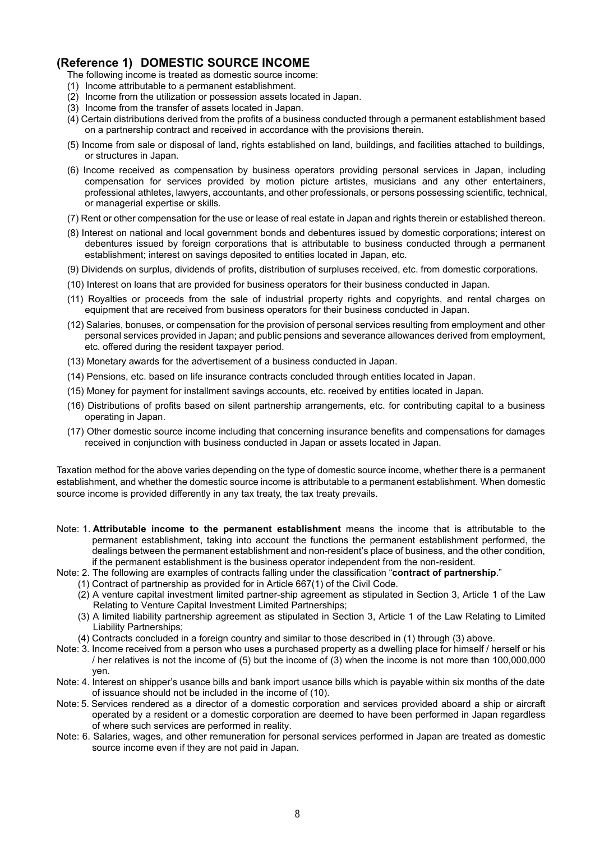## **(Reference 1) DOMESTIC SOURCE INCOME**

The following income is treated as domestic source income:

- (1) Income attributable to a permanent establishment.
- (2) Income from the utilization or possession assets located in Japan.
- (3) Income from the transfer of assets located in Japan.
- (4) Certain distributions derived from the profits of a business conducted through a permanent establishment based on a partnership contract and received in accordance with the provisions therein.
- (5) Income from sale or disposal of land, rights established on land, buildings, and facilities attached to buildings, or structures in Japan.
- (6) Income received as compensation by business operators providing personal services in Japan, including compensation for services provided by motion picture artistes, musicians and any other entertainers, professional athletes, lawyers, accountants, and other professionals, or persons possessing scientific, technical, or managerial expertise or skills.
- (7) Rent or other compensation for the use or lease of real estate in Japan and rights therein or established thereon.
- (8) Interest on national and local government bonds and debentures issued by domestic corporations; interest on debentures issued by foreign corporations that is attributable to business conducted through a permanent establishment; interest on savings deposited to entities located in Japan, etc.
- (9) Dividends on surplus, dividends of profits, distribution of surpluses received, etc. from domestic corporations.
- (10) Interest on loans that are provided for business operators for their business conducted in Japan.
- (11) Royalties or proceeds from the sale of industrial property rights and copyrights, and rental charges on equipment that are received from business operators for their business conducted in Japan.
- (12) Salaries, bonuses, or compensation for the provision of personal services resulting from employment and other personal services provided in Japan; and public pensions and severance allowances derived from employment, etc. offered during the resident taxpayer period.
- (13) Monetary awards for the advertisement of a business conducted in Japan.
- (14) Pensions, etc. based on life insurance contracts concluded through entities located in Japan.
- (15) Money for payment for installment savings accounts, etc. received by entities located in Japan.
- (16) Distributions of profits based on silent partnership arrangements, etc. for contributing capital to a business operating in Japan.
- (17) Other domestic source income including that concerning insurance benefits and compensations for damages received in conjunction with business conducted in Japan or assets located in Japan.

Taxation method for the above varies depending on the type of domestic source income, whether there is a permanent establishment, and whether the domestic source income is attributable to a permanent establishment. When domestic source income is provided differently in any tax treaty, the tax treaty prevails.

- Note: 1. **Attributable income to the permanent establishment** means the income that is attributable to the permanent establishment, taking into account the functions the permanent establishment performed, the dealings between the permanent establishment and non-resident's place of business, and the other condition, if the permanent establishment is the business operator independent from the non-resident.
- Note: 2. The following are examples of contracts falling under the classification "**contract of partnership**."
	- (1) Contract of partnership as provided for in Article 667(1) of the Civil Code.
	- (2) A venture capital investment limited partner-ship agreement as stipulated in Section 3, Article 1 of the Law Relating to Venture Capital Investment Limited Partnerships;
	- (3) A limited liability partnership agreement as stipulated in Section 3, Article 1 of the Law Relating to Limited Liability Partnerships;
	- (4) Contracts concluded in a foreign country and similar to those described in (1) through (3) above.
- Note: 3. Income received from a person who uses a purchased property as a dwelling place for himself / herself or his / her relatives is not the income of (5) but the income of (3) when the income is not more than 100,000,000 yen.
- Note: 4. Interest on shipper's usance bills and bank import usance bills which is payable within six months of the date of issuance should not be included in the income of (10).
- Note: 5. Services rendered as a director of a domestic corporation and services provided aboard a ship or aircraft operated by a resident or a domestic corporation are deemed to have been performed in Japan regardless of where such services are performed in reality.
- Note: 6. Salaries, wages, and other remuneration for personal services performed in Japan are treated as domestic source income even if they are not paid in Japan.